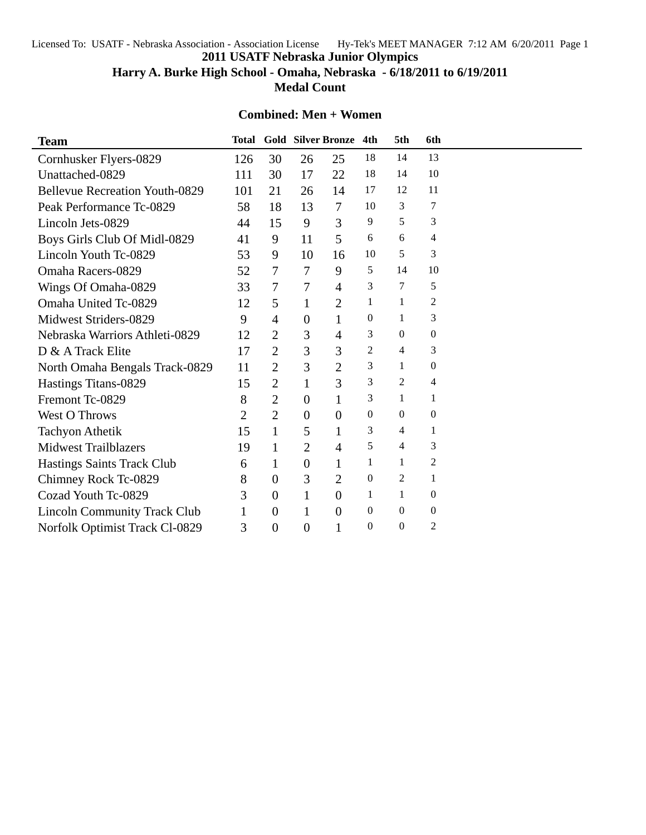Licensed To: USATF - Nebraska Association - Association License Hy-Tek's MEET MANAGER 7:12 AM 6/20/2011 Page 1

**2011 USATF Nebraska Junior Olympics**

**Harry A. Burke High School - Omaha, Nebraska - 6/18/2011 to 6/19/2011**

**Medal Count**

## **Combined: Men + Women**

| <b>Team</b>                           | Total |                  |                  | <b>Gold Silver Bronze</b> | 4th              | 5th              | 6th              |  |
|---------------------------------------|-------|------------------|------------------|---------------------------|------------------|------------------|------------------|--|
| Cornhusker Flyers-0829                | 126   | 30               | 26               | 25                        | 18               | 14               | 13               |  |
| Unattached-0829                       | 111   | 30               | 17               | 22                        | 18               | 14               | 10               |  |
| <b>Bellevue Recreation Youth-0829</b> | 101   | 21               | 26               | 14                        | 17               | 12               | 11               |  |
| Peak Performance Tc-0829              | 58    | 18               | 13               | $\overline{7}$            | 10               | 3                | 7                |  |
| Lincoln Jets-0829                     | 44    | 15               | 9                | 3                         | 9                | 5                | 3                |  |
| Boys Girls Club Of Midl-0829          | 41    | 9                | 11               | 5                         | 6                | 6                | 4                |  |
| Lincoln Youth Tc-0829                 | 53    | 9                | 10               | 16                        | 10               | 5                | 3                |  |
| Omaha Racers-0829                     | 52    | 7                | 7                | 9                         | 5                | 14               | 10               |  |
| Wings Of Omaha-0829                   | 33    | $\overline{7}$   | 7                | 4                         | 3                | 7                | 5                |  |
| Omaha United Tc-0829                  | 12    | 5                | $\mathbf{1}$     | $\overline{2}$            | 1                | 1                | 2                |  |
| Midwest Striders-0829                 | 9     | $\overline{4}$   | $\theta$         | $\mathbf{1}$              | $\theta$         | 1                | 3                |  |
| Nebraska Warriors Athleti-0829        | 12    | 2                | 3                | 4                         | 3                | $\theta$         | $\boldsymbol{0}$ |  |
| D & A Track Elite                     | 17    | $\overline{2}$   | 3                | 3                         | 2                | 4                | 3                |  |
| North Omaha Bengals Track-0829        | 11    | $\overline{2}$   | 3                | $\overline{2}$            | 3                | 1                | $\boldsymbol{0}$ |  |
| Hastings Titans-0829                  | 15    | $\overline{2}$   | $\mathbf{1}$     | 3                         | 3                | 2                | 4                |  |
| Fremont Tc-0829                       | 8     | 2                | $\mathbf{0}$     | 1                         | 3                | 1                | 1                |  |
| <b>West O Throws</b>                  | 2     | $\overline{2}$   | $\theta$         | $\overline{0}$            | $\boldsymbol{0}$ | $\theta$         | $\boldsymbol{0}$ |  |
| <b>Tachyon Athetik</b>                | 15    | 1                | 5                | 1                         | 3                | 4                | $\mathbf{1}$     |  |
| <b>Midwest Trailblazers</b>           | 19    | 1                | $\overline{2}$   | $\overline{4}$            | 5                | 4                | 3                |  |
| <b>Hastings Saints Track Club</b>     | 6     | 1                | $\boldsymbol{0}$ | 1                         | 1                | 1                | $\overline{c}$   |  |
| Chimney Rock Tc-0829                  | 8     | $\overline{0}$   | 3                | 2                         | 0                | 2                | $\mathbf{1}$     |  |
| Cozad Youth Tc-0829                   | 3     | $\overline{0}$   | 1                | $\overline{0}$            | 1                | 1                | $\boldsymbol{0}$ |  |
| <b>Lincoln Community Track Club</b>   |       | $\theta$         | 1                | $\theta$                  | $\theta$         | $\boldsymbol{0}$ | $\boldsymbol{0}$ |  |
| Norfolk Optimist Track Cl-0829        | 3     | $\boldsymbol{0}$ | $\boldsymbol{0}$ | 1                         | $\theta$         | $\overline{0}$   | $\overline{c}$   |  |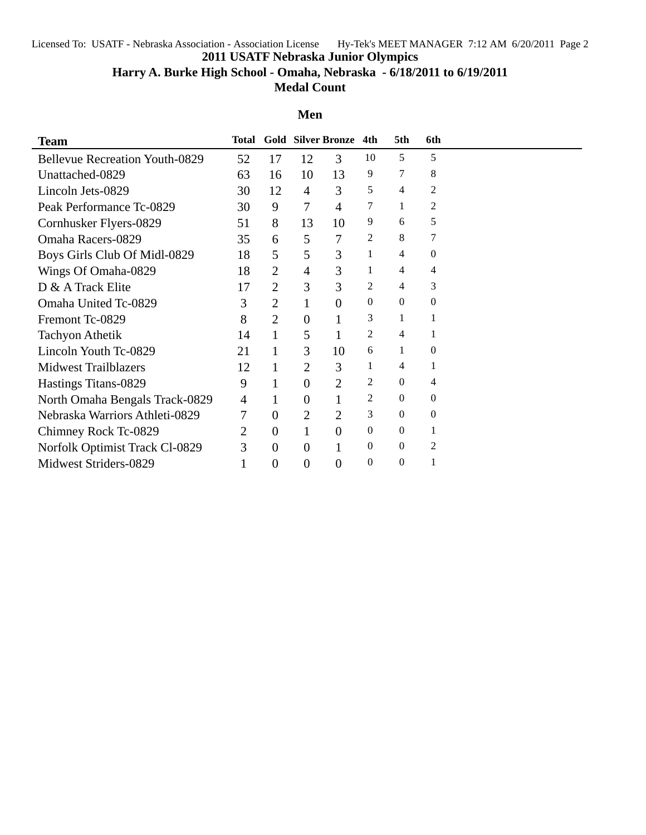Licensed To: USATF - Nebraska Association - Association License Hy-Tek's MEET MANAGER 7:12 AM 6/20/2011 Page 2

**2011 USATF Nebraska Junior Olympics**

**Harry A. Burke High School - Omaha, Nebraska - 6/18/2011 to 6/19/2011**

**Medal Count**

## **Men**

| <b>Team</b>                           | <b>Total</b>   |                |                          | <b>Gold Silver Bronze</b> | 4th      | 5th          | 6th            |  |
|---------------------------------------|----------------|----------------|--------------------------|---------------------------|----------|--------------|----------------|--|
| <b>Bellevue Recreation Youth-0829</b> | 52             | 17             | 12                       | 3                         | 10       | 5            | 5              |  |
| Unattached-0829                       | 63             | 16             | 10                       | 13                        | 9        | 7            | 8              |  |
| Lincoln Jets-0829                     | 30             | 12             | $\overline{4}$           | 3                         | 5        | 4            | 2              |  |
| Peak Performance Tc-0829              | 30             | 9              | $\overline{\mathcal{L}}$ | $\overline{4}$            | 7        | 1            | 2              |  |
| Cornhusker Flyers-0829                | 51             | 8              | 13                       | 10                        | 9        | 6            | 5              |  |
| <b>Omaha Racers-0829</b>              | 35             | 6              | 5                        | 7                         | 2        | 8            | 7              |  |
| Boys Girls Club Of Midl-0829          | 18             | 5              | 5                        | 3                         | 1        | 4            | $\overline{0}$ |  |
| Wings Of Omaha-0829                   | 18             | $\overline{2}$ | 4                        | 3                         | 1        | 4            | 4              |  |
| D & A Track Elite                     | 17             | 2              | 3                        | 3                         | 2        | 4            | 3              |  |
| Omaha United Tc-0829                  | 3              | 2              | 1                        | $\theta$                  | $\theta$ | $\theta$     | $\overline{0}$ |  |
| Fremont Tc-0829                       | 8              | $\overline{2}$ | 0                        | 1                         | 3        | 1            |                |  |
| <b>Tachyon Athetik</b>                | 14             | 1              | 5                        | 1                         | 2        | 4            |                |  |
| Lincoln Youth Tc-0829                 | 21             | 1              | 3                        | 10                        | 6        | 1            | $\overline{0}$ |  |
| <b>Midwest Trailblazers</b>           | 12             | 1              | 2                        | 3                         | 1        | 4            |                |  |
| Hastings Titans-0829                  | 9              |                | 0                        | $\overline{2}$            | 2        | $\Omega$     | 4              |  |
| North Omaha Bengals Track-0829        | $\overline{4}$ | 1              | 0                        |                           | 2        | $\theta$     | $\overline{0}$ |  |
| Nebraska Warriors Athleti-0829        | 7              | $\overline{0}$ | $\overline{2}$           | $\overline{2}$            | 3        | $\theta$     | $\theta$       |  |
| Chimney Rock Tc-0829                  | 2              | $\theta$       | 1                        | $\theta$                  | $\theta$ | $\Omega$     |                |  |
| Norfolk Optimist Track Cl-0829        | 3              | $\theta$       | 0                        | 1                         | $\theta$ | $\theta$     | 2              |  |
| Midwest Striders-0829                 |                | $\theta$       | $\boldsymbol{0}$         | $\overline{0}$            | $\theta$ | $\mathbf{0}$ |                |  |